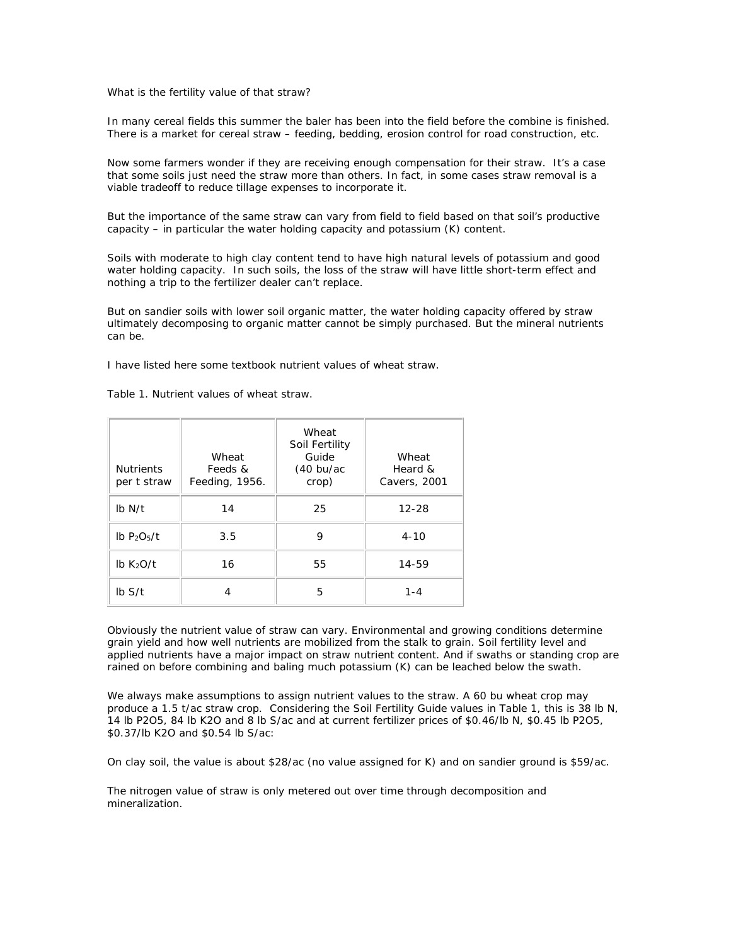What is the fertility value of that straw?

In many cereal fields this summer the baler has been into the field before the combine is finished. There is a market for cereal straw – feeding, bedding, erosion control for road construction, etc.

Now some farmers wonder if they are receiving enough compensation for their straw. It's a case that some soils just need the straw more than others. In fact, in some cases straw removal is a viable tradeoff to reduce tillage expenses to incorporate it.

But the importance of the same straw can vary from field to field based on that soil's productive capacity – in particular the water holding capacity and potassium (K) content.

Soils with moderate to high clay content tend to have high natural levels of potassium and good water holding capacity. In such soils, the loss of the straw will have little short-term effect and nothing a trip to the fertilizer dealer can't replace.

But on sandier soils with lower soil organic matter, the water holding capacity offered by straw ultimately decomposing to organic matter cannot be simply purchased. But the mineral nutrients can be.

I have listed here some textbook nutrient values of wheat straw.

Table 1. Nutrient values of wheat straw.

| <b>Nutrients</b><br>per t straw       | Wheat<br>Feeds &<br>Feeding, 1956. | Wheat<br>Soil Fertility<br>Guide<br>$(40 \text{ bu/ac})$<br>crop) | Wheat<br>Heard &<br>Cavers, 2001 |
|---------------------------------------|------------------------------------|-------------------------------------------------------------------|----------------------------------|
| $Ib$ N/t                              | 14                                 | 25                                                                | $12 - 28$                        |
| $lb$ P <sub>2</sub> O <sub>5</sub> /t | 3.5                                | 9                                                                 | $4 - 10$                         |
| $Ib$ K <sub>2</sub> O/t               | 16                                 | 55                                                                | 14-59                            |
| Ib S/t                                |                                    | 5                                                                 | $1 - 4$                          |

Obviously the nutrient value of straw can vary. Environmental and growing conditions determine grain yield and how well nutrients are mobilized from the stalk to grain. Soil fertility level and applied nutrients have a major impact on straw nutrient content. And if swaths or standing crop are rained on before combining and baling much potassium (K) can be leached below the swath.

We always make assumptions to assign nutrient values to the straw. A 60 bu wheat crop may produce a 1.5 t/ac straw crop. Considering the Soil Fertility Guide values in Table 1, this is 38 lb N, 14 lb P2O5, 84 lb K2O and 8 lb S/ac and at current fertilizer prices of \$0.46/lb N, \$0.45 lb P2O5, \$0.37/lb K2O and \$0.54 lb S/ac:

On clay soil, the value is about \$28/ac (no value assigned for K) and on sandier ground is \$59/ac.

The nitrogen value of straw is only metered out over time through decomposition and mineralization.